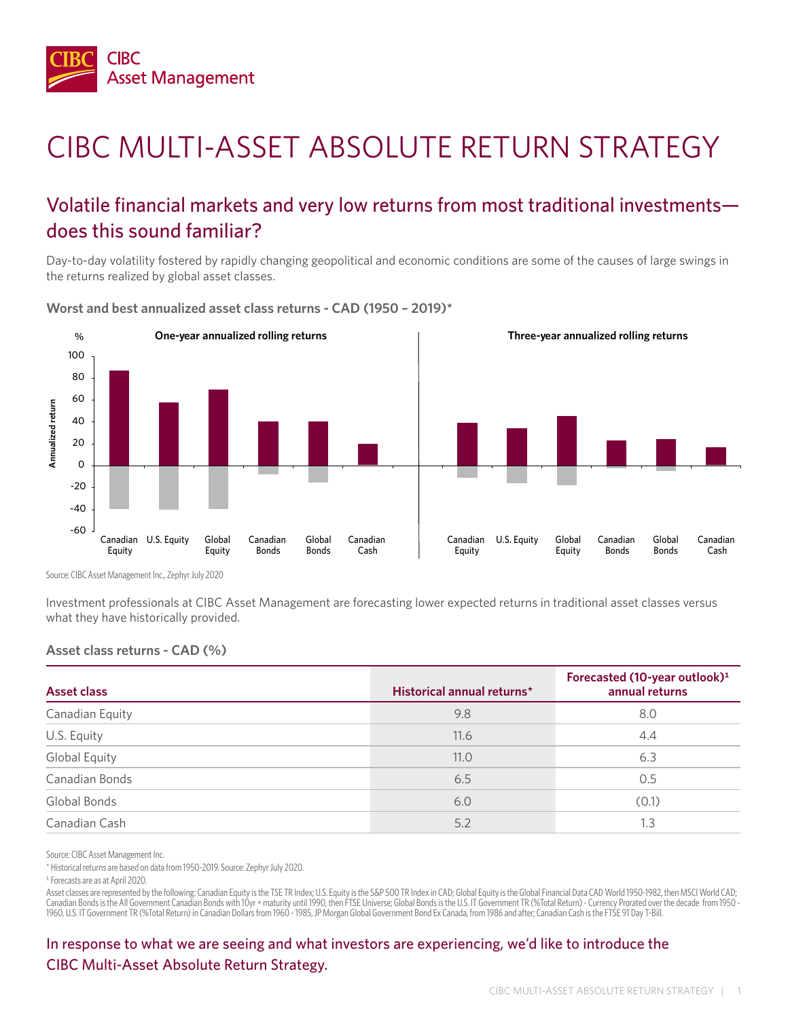

# CIBC MULTI-ASSET ABSOLUTE RETURN STRATEGY

### Volatile financial markets and very low returns from most traditional investments does this sound familiar?

Day-to-day volatility fostered by rapidly changing geopolitical and economic conditions are some of the causes of large swings in the returns realized by global asset classes.

**Worst and best annualized asset class returns - CAD (1950 – 2019)\***



Source: CIBC Asset Management Inc., Zephyr July 2020

Investment professionals at CIBC Asset Management are forecasting lower expected returns in traditional asset classes versus what they have historically provided.

#### **Asset class returns - CAD (%)**

| Asset class     | Historical annual returns* | Forecasted (10-year outlook) <sup>1</sup><br>annual returns |
|-----------------|----------------------------|-------------------------------------------------------------|
| Canadian Equity | 9.8                        | 8.0                                                         |
| U.S. Equity     | 11.6                       | 4.4                                                         |
| Global Equity   | 11.0                       | 6.3                                                         |
| Canadian Bonds  | 6.5                        | 0.5                                                         |
| Global Bonds    | 6.0                        | (0.1)                                                       |
| Canadian Cash   | 5.2                        | 1.3                                                         |

Source: CIBC Asset Management Inc.

\* Historical returns are based on data from 1950-2019. Source: Zephyr July 2020.

1 Forecasts are as at April 2020.

Asset classes are represented by the following: Canadian Equity is the TSE TR Index; U.S. Equity is the S&P 500 TR Index in CAD; Global Equity is the Global Financial Data CAD World 1950-1982, then MSCI World CAD; Canadian Bonds is the All Government Canadian Bonds with 10yr + maturity until 1990, then FTSE Universe; Global Bonds is the U.S. IT Government TR (%Total Return) - Currency Prorated over the decade from 1950 1960, U.S. IT Government TR (%Total Return) in Canadian Dollars from 1960 - 1985, JP Morgan Global Government Bond Ex Canada, from 1986 and after; Canadian Cash is the FTSE 91 Day T-Bill.

In response to what we are seeing and what investors are experiencing, we'd like to introduce the CIBC Multi-Asset Absolute Return Strategy.